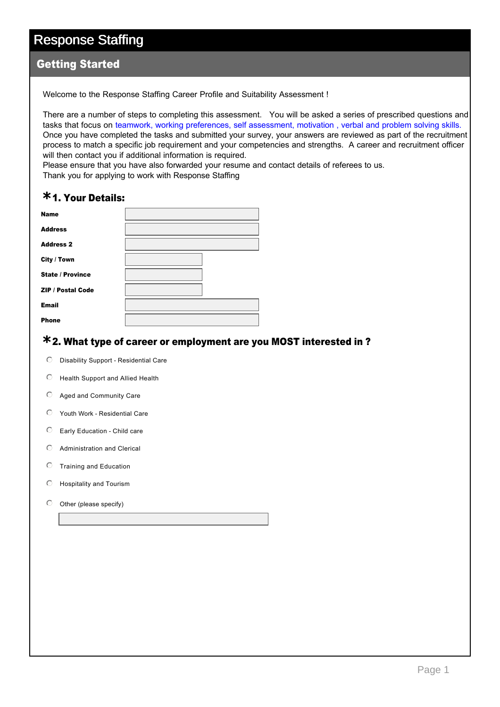#### Getting Started

Welcome to the Response Staffing Career Profile and Suitability Assessment !

There are a number of steps to completing this assessment. You will be asked a series of prescribed questions and tasks that focus on teamwork, working preferences, self assessment, motivation , verbal and problem solving skills. Once you have completed the tasks and submitted your survey, your answers are reviewed as part of the recruitment process to match a specific job requirement and your competencies and strengths. A career and recruitment officer will then contact you if additional information is required.

Please ensure that you have also forwarded your resume and contact details of referees to us.

Thank you for applying to work with Response Staffing

## 1. Your Details: **\***

| <b>Name</b>              |  |
|--------------------------|--|
| <b>Address</b>           |  |
| <b>Address 2</b>         |  |
| City / Town              |  |
| <b>State / Province</b>  |  |
| <b>ZIP / Postal Code</b> |  |
| <b>Email</b>             |  |
| <b>Phone</b>             |  |

## 2. What type of career or employment are you MOST interested in ? **\***

- $\odot$  Disability Support Residential Care
- $\odot$  Health Support and Allied Health
- $O$  Aged and Community Care
- $O$  Youth Work Residential Care
- $\heartsuit$  Early Education Child care
- $O$  Administration and Clerical
- $\circ$  Training and Education
- $O$  Hospitality and Tourism
- $\odot$  Other (please specify)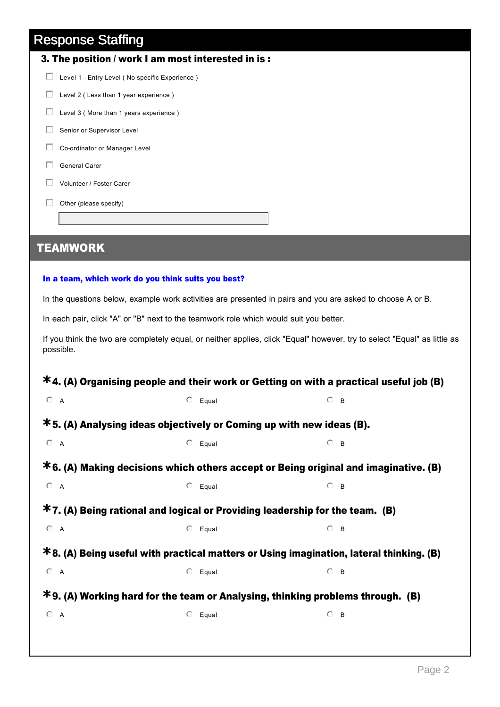|              | 3. The position / work I am most interested in is: |
|--------------|----------------------------------------------------|
| $\mathbf{L}$ | Level 1 - Entry Level (No specific Experience)     |
|              | Level 2 (Less than 1 year experience)              |
|              | Level 3 (More than 1 years experience)             |
|              | Senior or Supervisor Level                         |
|              | Co-ordinator or Manager Level                      |
|              | General Carer                                      |
|              | Volunteer / Foster Carer                           |
|              | Other (please specify)                             |
|              |                                                    |

## TEAMWORK

#### In a team, which work do you think suits you best?

In the questions below, example work activities are presented in pairs and you are asked to choose A or B.

In each pair, click "A" or "B" next to the teamwork role which would suit you better.

If you think the two are completely equal, or neither applies, click "Equal" however, try to select "Equal" as little as possible.

|                                                                         |                  | $*$ 4. (A) Organising people and their work or Getting on with a practical useful job (B) |
|-------------------------------------------------------------------------|------------------|-------------------------------------------------------------------------------------------|
| $\odot$ A                                                               | $\circ$ Equal    | $\odot$ B                                                                                 |
| $*$ 5. (A) Analysing ideas objectively or Coming up with new ideas (B). |                  |                                                                                           |
| O A                                                                     | $O$ Equal        | $O$ B                                                                                     |
|                                                                         |                  | $*6.$ (A) Making decisions which others accept or Being original and imaginative. (B)     |
| $O$ A                                                                   | $\circ$ Equal    | $\circ$ B                                                                                 |
|                                                                         |                  | $*7.$ (A) Being rational and logical or Providing leadership for the team. (B)            |
| $O$ A                                                                   | $\circ$ Equal    | $O$ B                                                                                     |
|                                                                         |                  | *8. (A) Being useful with practical matters or Using imagination, lateral thinking. (B)   |
| $O \nightharpoonup A$                                                   | $\circ$ Equal    | $\circ$ B                                                                                 |
|                                                                         |                  | $*$ 9. (A) Working hard for the team or Analysing, thinking problems through. (B)         |
| $O$ A                                                                   | $\circ$<br>Equal | $O$ B                                                                                     |
|                                                                         |                  |                                                                                           |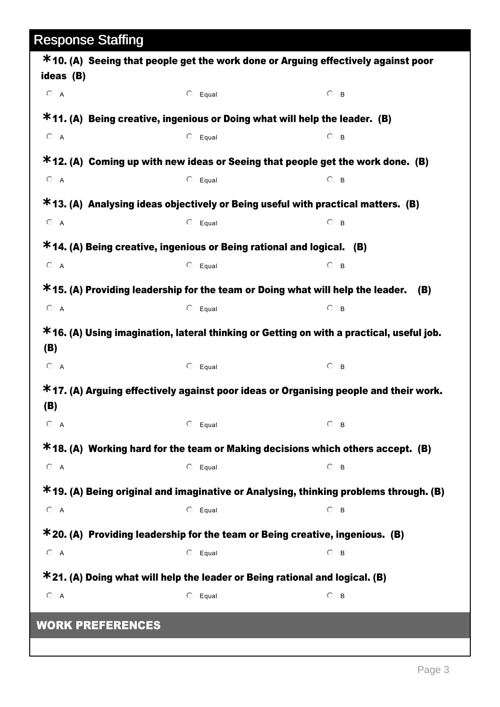| ideas (B)               | *10. (A) Seeing that people get the work done or Arguing effectively against poor        |           |
|-------------------------|------------------------------------------------------------------------------------------|-----------|
| $O$ A                   | $\circ$ Equal                                                                            | $\circ$ B |
|                         | $*11.$ (A) Being creative, ingenious or Doing what will help the leader. (B)             |           |
| $O$ A                   | $O$ Equal                                                                                | $\circ$ B |
|                         | $*12$ . (A) Coming up with new ideas or Seeing that people get the work done. (B)        |           |
| $O$ A                   | $O$ Equal                                                                                | $\circ$ B |
|                         | $*$ 13. (A) Analysing ideas objectively or Being useful with practical matters. (B)      |           |
| $O$ A                   | $\circ$ Equal                                                                            | $\circ$ B |
|                         | $*$ 14. (A) Being creative, ingenious or Being rational and logical. (B)                 |           |
| $O$ A                   | $O$ Equal                                                                                | $\circ$ B |
|                         | $*$ 15. (A) Providing leadership for the team or Doing what will help the leader.        | (B)       |
| $O$ A                   | $O$ Equal                                                                                | $\circ$ B |
| (B)                     | *16. (A) Using imagination, lateral thinking or Getting on with a practical, useful job. |           |
| $O$ A                   | $\circ$ Equal                                                                            | $\circ$ B |
| (B)                     | $*$ 17. (A) Arguing effectively against poor ideas or Organising people and their work.  |           |
| $\odot$ A               | $\circ$ Equal                                                                            | $\circ$ B |
|                         | *18. (A) Working hard for the team or Making decisions which others accept. (B)          |           |
| $O$ A                   | $O$ Equal                                                                                | $\odot$ B |
|                         | *19. (A) Being original and imaginative or Analysing, thinking problems through. (B)     |           |
| $O \cap A$              | $O$ Equal                                                                                | $\circ$ B |
|                         | $*$ 20. (A) Providing leadership for the team or Being creative, ingenious. (B)          |           |
| $O$ A                   | $O$ Equal                                                                                | $\odot$ B |
|                         | $*$ 21. (A) Doing what will help the leader or Being rational and logical. (B)           |           |
| $O$ A                   | $\circ$<br>Equal                                                                         | $\circ$ B |
| <b>WORK PREFERENCES</b> |                                                                                          |           |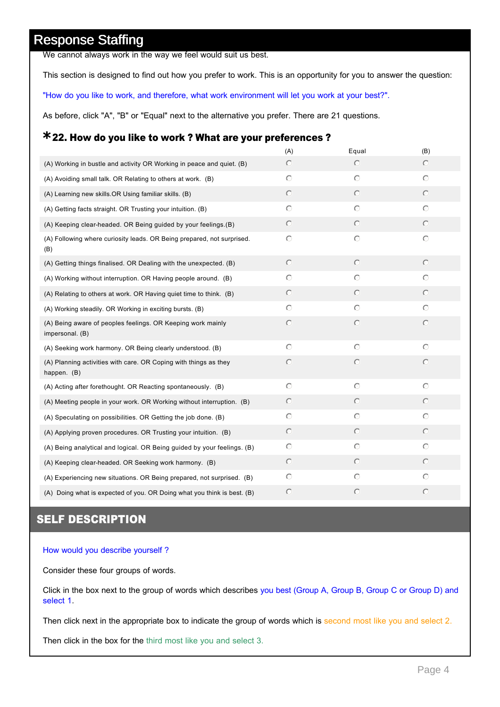We cannot always work in the way we feel would suit us best.

This section is designed to find out how you prefer to work. This is an opportunity for you to answer the question:

"How do you like to work, and therefore, what work environment will let you work at your best?".

As before, click "A", "B" or "Equal" next to the alternative you prefer. There are 21 questions.

## 22. How do you like to work ? What are your preferences ? **\***

|                                                                                 | (A)        | Equal      | (B)        |
|---------------------------------------------------------------------------------|------------|------------|------------|
| (A) Working in bustle and activity OR Working in peace and quiet. (B)           | $\odot$    | $\odot$    | $\odot$    |
| (A) Avoiding small talk. OR Relating to others at work. (B)                     | $\circ$    | $\bigcirc$ | $\circ$    |
| (A) Learning new skills.OR Using familiar skills. (B)                           | $\circ$    | $\circ$    | $\circ$    |
| (A) Getting facts straight. OR Trusting your intuition. (B)                     | $\circ$    | $\circ$    | $\circ$    |
| (A) Keeping clear-headed. OR Being guided by your feelings. (B)                 | $\circ$    | $\odot$    | $\odot$    |
| (A) Following where curiosity leads. OR Being prepared, not surprised.<br>(B)   | $\circ$    | $\circ$    | $\circ$    |
| (A) Getting things finalised. OR Dealing with the unexpected. (B)               | $\circ$    | $\circ$    | $\circ$    |
| (A) Working without interruption. OR Having people around. (B)                  | $\circ$    | $\bigcirc$ | $\bigcirc$ |
| (A) Relating to others at work. OR Having quiet time to think. (B)              | $\circ$    | $\circ$    | $\circ$    |
| (A) Working steadily. OR Working in exciting bursts. (B)                        | $\circ$    | $\circ$    | $\circ$    |
| (A) Being aware of peoples feelings. OR Keeping work mainly<br>impersonal. (B)  | $\circ$    | $\circ$    | $\circ$    |
| (A) Seeking work harmony. OR Being clearly understood. (B)                      | $\bigcirc$ | $\odot$    | $\circ$    |
| (A) Planning activities with care. OR Coping with things as they<br>happen. (B) | $\circ$    | $\circ$    | $\circ$    |
| (A) Acting after forethought. OR Reacting spontaneously. (B)                    | $\circ$    | $\circ$    | $\circ$    |
| (A) Meeting people in your work. OR Working without interruption. (B)           | $\circ$    | $\circ$    | $\circ$    |
| (A) Speculating on possibilities. OR Getting the job done. (B)                  | $\bigcirc$ | $\bigcirc$ | $\bigcirc$ |
| (A) Applying proven procedures. OR Trusting your intuition. (B)                 | $\circ$    | $\circ$    | $\odot$    |
| (A) Being analytical and logical. OR Being guided by your feelings. (B)         | $\circ$    | $\circ$    | $\circ$    |
| (A) Keeping clear-headed. OR Seeking work harmony. (B)                          | $\odot$    | $\odot$    | $\odot$    |
| (A) Experiencing new situations. OR Being prepared, not surprised. (B)          | $\circ$    | $\circ$    | $\circ$    |
| (A) Doing what is expected of you. OR Doing what you think is best. (B)         | $\circ$    | $\circ$    | $\circ$    |

#### SELF DESCRIPTION

#### How would you describe yourself ?

Consider these four groups of words.

Click in the box next to the group of words which describes you best (Group A, Group B, Group C or Group D) and select 1.

Then click next in the appropriate box to indicate the group of words which is second most like you and select 2.

Then click in the box for the third most like you and select 3.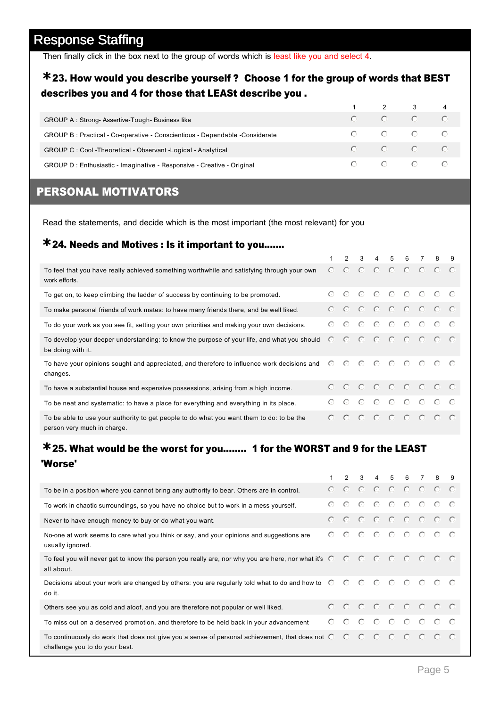Then finally click in the box next to the group of words which is least like you and select 4.

#### 23. How would you describe yourself ? Choose 1 for the group of words that BEST **\*** describes you and 4 for those that LEASt describe you .

|                                                                              |  | $1 \qquad 2 \qquad 3 \qquad 4$                                                               |  |
|------------------------------------------------------------------------------|--|----------------------------------------------------------------------------------------------|--|
| GROUP A: Strong-Assertive-Tough-Business like                                |  | $\begin{array}{ccccccccccccccccc} \circ & & \circ & & \circ & & \circ \end{array}$           |  |
| GROUP B: Practical - Co-operative - Conscientious - Dependable - Considerate |  | $\begin{array}{ccccccccccccccccc} \circ & & \circ & & \circ & & \circ & & \circ \end{array}$ |  |
| GROUP C: Cool -Theoretical - Observant -Logical - Analytical                 |  | $\begin{array}{ccccccccccccccccc} \circ & & \circ & & \circ & & \circ \end{array}$           |  |
| GROUP D : Enthusiastic - Imaginative - Responsive - Creative - Original      |  | $\begin{array}{ccccccccccccccccc} \circ & & \circ & & \circ & & \circ & & \circ \end{array}$ |  |

## PERSONAL MOTIVATORS

Read the statements, and decide which is the most important (the most relevant) for you

## 24. Needs and Motives : Is it important to you....... **\***

|                                                                                                                           |         |  |  | 2 3 4 5 6 7 | - 8 | -9 |
|---------------------------------------------------------------------------------------------------------------------------|---------|--|--|-------------|-----|----|
| To feel that you have really achieved something worthwhile and satisfying through your own<br>work efforts.               |         |  |  |             |     |    |
| To get on, to keep climbing the ladder of success by continuing to be promoted.                                           |         |  |  |             |     |    |
| To make personal friends of work mates: to have many friends there, and be well liked.                                    | $\odot$ |  |  |             |     |    |
| To do your work as you see fit, setting your own priorities and making your own decisions.                                | $\odot$ |  |  |             |     |    |
| To develop your deeper understanding: to know the purpose of your life, and what you should<br>be doing with it.          |         |  |  |             |     |    |
| To have your opinions sought and appreciated, and therefore to influence work decisions and C C C C C C C C C<br>changes. |         |  |  |             |     |    |
| To have a substantial house and expensive possessions, arising from a high income.                                        |         |  |  |             |     |    |
| To be neat and systematic: to have a place for everything and everything in its place.                                    | $\odot$ |  |  |             |     |    |
| To be able to use your authority to get people to do what you want them to do: to be the<br>person very much in charge.   |         |  |  |             |     |    |

#### 25. What would be the worst for you........ 1 for the WORST and 9 for the LEAST **\*** 'Worse'

|                                                                                                                                           |         |         |  |  |                                                                                                              | 2 3 4 5 6 7 8 9                                                                                                      |  |
|-------------------------------------------------------------------------------------------------------------------------------------------|---------|---------|--|--|--------------------------------------------------------------------------------------------------------------|----------------------------------------------------------------------------------------------------------------------|--|
| To be in a position where you cannot bring any authority to bear. Others are in control.                                                  |         |         |  |  |                                                                                                              | $\begin{array}{ccccccccccccccccc} \circ & \circ & \circ & \circ & \circ & \circ & \circ & \circ & \circ \end{array}$ |  |
| To work in chaotic surroundings, so you have no choice but to work in a mess yourself.                                                    | ⊙       | $\odot$ |  |  | $\begin{array}{ccccccccccccccccc} \circ & \circ & \circ & \circ & \circ & \circ & \circ \end{array}$         |                                                                                                                      |  |
| Never to have enough money to buy or do what you want.                                                                                    |         |         |  |  |                                                                                                              |                                                                                                                      |  |
| No-one at work seems to care what you think or say, and your opinions and suggestions are<br>usually ignored.                             |         |         |  |  |                                                                                                              |                                                                                                                      |  |
| To feel you will never get to know the person you really are, nor why you are here, nor what it's C C C C C C C C C<br>all about.         |         |         |  |  |                                                                                                              |                                                                                                                      |  |
| Decisions about your work are changed by others: you are regularly told what to do and how to C C C C C C C C C<br>do it.                 |         |         |  |  |                                                                                                              |                                                                                                                      |  |
| Others see you as cold and aloof, and you are therefore not popular or well liked.                                                        |         |         |  |  |                                                                                                              |                                                                                                                      |  |
| To miss out on a deserved promotion, and therefore to be held back in your advancement                                                    | $\odot$ |         |  |  |                                                                                                              |                                                                                                                      |  |
| To continuously do work that does not give you a sense of personal achievement, that does not $\degree$<br>challenge you to do your best. |         |         |  |  | $\begin{array}{ccccccccccccccccc} \circ & \circ & \circ & \circ & \circ & \circ & \circ & \circ \end{array}$ |                                                                                                                      |  |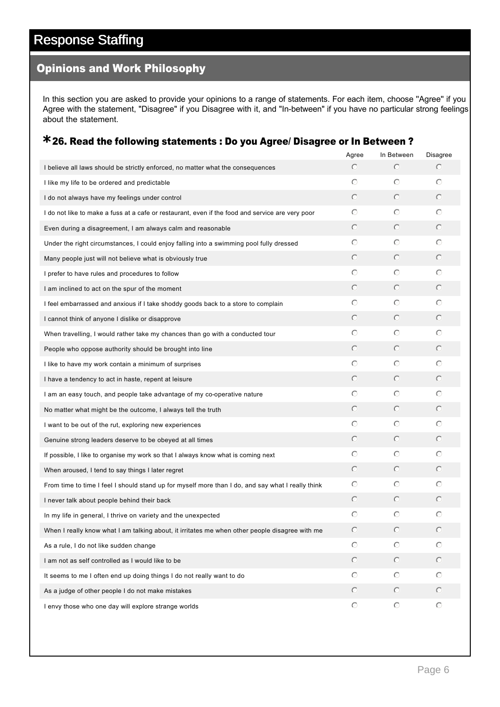#### Opinions and Work Philosophy

In this section you are asked to provide your opinions to a range of statements. For each item, choose ''Agree'' if you Agree with the statement, "Disagree" if you Disagree with it, and "In-between" if you have no particular strong feelings about the statement.

## 26. Read the following statements : Do you Agree/ Disagree or In Between ? **\***

|                                                                                                   | Agree      | In Between | Disagree     |
|---------------------------------------------------------------------------------------------------|------------|------------|--------------|
| I believe all laws should be strictly enforced, no matter what the consequences                   | $\odot$    | $\circ$    | $\circ$      |
| I like my life to be ordered and predictable                                                      | O          | $\circ$    | $\circ$      |
| I do not always have my feelings under control                                                    | $\circ$    | $\circ$    | $\circ$      |
| I do not like to make a fuss at a cafe or restaurant, even if the food and service are very poor  | O          | $\circ$    | $\circ$      |
| Even during a disagreement, I am always calm and reasonable                                       | $\circ$    | $\circ$    | $\circ$      |
| Under the right circumstances, I could enjoy falling into a swimming pool fully dressed           | O          | $\circ$    | $\circ$      |
| Many people just will not believe what is obviously true                                          | $\circ$    | $\circ$    | $\circ$      |
| I prefer to have rules and procedures to follow                                                   | ⊙          | $\circ$    | $\circ$      |
| I am inclined to act on the spur of the moment                                                    | $\circ$    | $\odot$    | $\circ$      |
| I feel embarrassed and anxious if I take shoddy goods back to a store to complain                 | ⊙          | $\circ$    | $\circ$      |
| I cannot think of anyone I dislike or disapprove                                                  | $\circ$    | $\circ$    | $\circ$      |
| When travelling, I would rather take my chances than go with a conducted tour                     | O          | $\circ$    | $\circ$      |
| People who oppose authority should be brought into line                                           | $\bigcirc$ | $\circ$    | $\circ$      |
| I like to have my work contain a minimum of surprises                                             | ⊙          | $\circ$    | O            |
| I have a tendency to act in haste, repent at leisure                                              | $\bigcirc$ | $\circ$    | $\circ$      |
| I am an easy touch, and people take advantage of my co-operative nature                           | ⊙          | $\circ$    | O            |
| No matter what might be the outcome, I always tell the truth                                      | $\bigcirc$ | $\circ$    | $\circ$      |
| I want to be out of the rut, exploring new experiences                                            | ⊙          | $\circ$    | O            |
| Genuine strong leaders deserve to be obeyed at all times                                          | $\bigcirc$ | $\circ$    | $\circ$      |
| If possible, I like to organise my work so that I always know what is coming next                 | ⊙          | $\circ$    | O            |
| When aroused, I tend to say things I later regret                                                 | $\odot$    | $\circ$    | $\circ$      |
| From time to time I feel I should stand up for myself more than I do, and say what I really think | O          | $\circ$    | O            |
| I never talk about people behind their back                                                       | $\odot$    | $\circ$    | $\circ$      |
| In my life in general, I thrive on variety and the unexpected                                     | ⊙          | $\circ$    | O            |
| When I really know what I am talking about, it irritates me when other people disagree with me    | $\circ$    | $\circ$    | $\mathbb{C}$ |
| As a rule, I do not like sudden change                                                            | $\circ$    | $\circ$    | $\circ$      |
| I am not as self controlled as I would like to be                                                 | $\odot$    | $\circ$    | $\circ$      |
| It seems to me I often end up doing things I do not really want to do                             | $\circ$    | $\circ$    | $\circ$      |
| As a judge of other people I do not make mistakes                                                 | $\odot$    | $\circ$    | $\circ$      |
| I envy those who one day will explore strange worlds                                              | $\odot$    | $\circ$    | $\circ$      |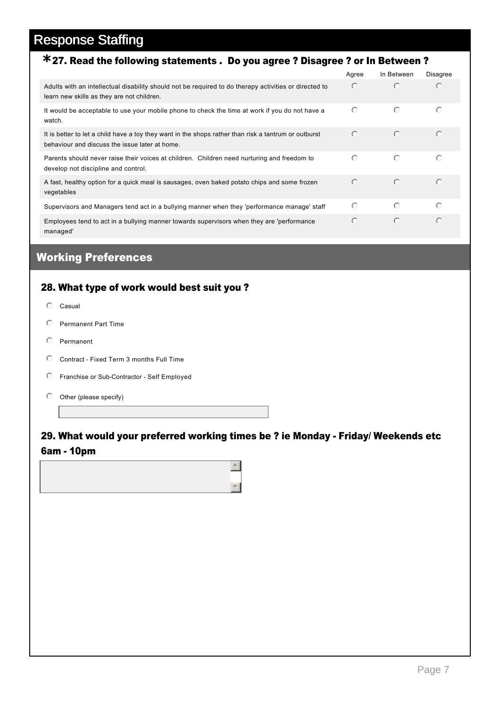## 27. Read the following statements . Do you agree ? Disagree ? or In Between ? **\***

|                                                                                                                                                        | Agree      | In Between | <b>Disagree</b> |  |
|--------------------------------------------------------------------------------------------------------------------------------------------------------|------------|------------|-----------------|--|
| Adults with an intellectual disability should not be required to do therapy activities or directed to<br>learn new skills as they are not children.    | $\bigcirc$ | $\odot$    | $\bigcirc$      |  |
| It would be acceptable to use your mobile phone to check the time at work if you do not have a<br>watch.                                               | $\odot$    | $\odot$    | $\odot$         |  |
| It is better to let a child have a toy they want in the shops rather than risk a tantrum or outburst<br>behaviour and discuss the issue later at home. | $\bigcirc$ | $\odot$    | $\odot$         |  |
| Parents should never raise their voices at children. Children need nurturing and freedom to<br>develop not discipline and control.                     | $\odot$    | $\odot$    | $\odot$         |  |
| A fast, healthy option for a quick meal is sausages, oven baked potato chips and some frozen<br>vegetables                                             | $\odot$    | $\odot$    | $\odot$         |  |
| Supervisors and Managers tend act in a bullying manner when they 'performance manage' staff                                                            | $\bigcirc$ | $\odot$    | $\odot$         |  |
| Employees tend to act in a bullying manner towards supervisors when they are 'performance<br>managed'                                                  | $\bigcap$  | $\odot$    | $\bigcirc$      |  |

### Working Preferences

#### 28. What type of work would best suit you ?

- $O$  Casual
- $O$  Permanent Part Time
- $O$  Permanent
- C Contract Fixed Term 3 months Full Time
- $\circ$  Franchise or Sub-Contractor Self Employed
- $\heartsuit$  Other (please specify)

#### 29. What would your preferred working times be ? ie Monday Friday/ Weekends etc 6am 10pm

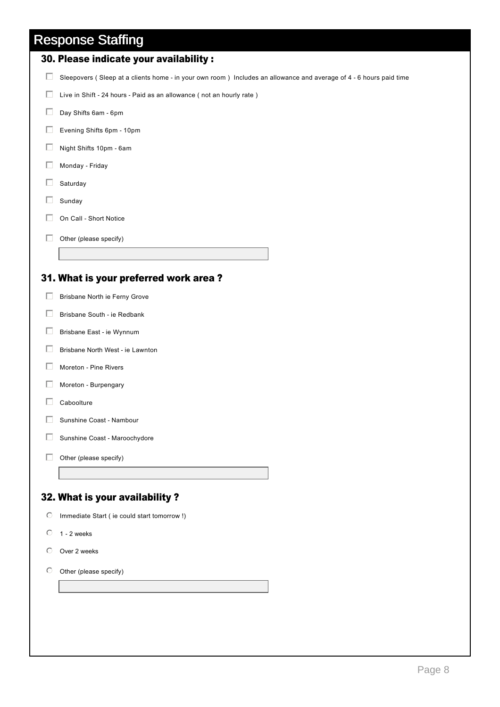| rv,                                                                                                                |
|--------------------------------------------------------------------------------------------------------------------|
| 30. Please indicate your availability :                                                                            |
| Sleepovers (Sleep at a clients home - in your own room) Includes an allowance and average of 4 - 6 hours paid time |
| Live in Shift - 24 hours - Paid as an allowance (not an hourly rate)                                               |
| Day Shifts 6am - 6pm                                                                                               |
| Evening Shifts 6pm - 10pm                                                                                          |
| Night Shifts 10pm - 6am                                                                                            |
| Monday - Friday                                                                                                    |
| Saturday                                                                                                           |
|                                                                                                                    |

- $\Box$  Sunday
- $\Box$  On Call Short Notice
- $\Box$  Other (please specify)

#### 31. What is your preferred work area ?

- $\Box$  Brisbane North ie Ferny Grove
- $\Box$  Brisbane South ie Redbank
- $\Box$  Brisbane East ie Wynnum
- $\Box$  Brisbane North West ie Lawnton
- $\Box$  Moreton Pine Rivers
- $\Box$  Moreton Burpengary
- $\Box$  Caboolture
- $\Box$  Sunshine Coast Nambour
- $\Box$  Sunshine Coast Maroochydore
- $\Box$  Other (please specify)

#### 32. What is your availability ?

- $\bigcirc$  Immediate Start ( ie could start tomorrow !)
- $0$  1 2 weeks
- $O$  Over 2 weeks
- $\odot$  Other (please specify)